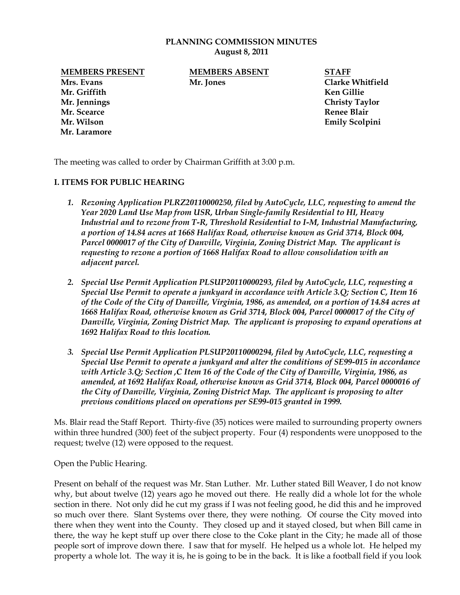## **PLANNING COMMISSION MINUTES August 8, 2011**

**MEMBERS PRESENT MEMBERS ABSENT STAFF**

**Mrs. Evans Mr. Jones Clarke Whitfield Mr. Griffith Ken Gillie Mr. Jennings Christy Taylor Mr. Scearce Renee Blair Mr. Wilson Emily Scolpini Mr. Laramore**

The meeting was called to order by Chairman Griffith at 3:00 p.m.

## **I. ITEMS FOR PUBLIC HEARING**

- *1. Rezoning Application PLRZ20110000250, filed by AutoCycle, LLC, requesting to amend the Year 2020 Land Use Map from USR, Urban Single-family Residential to HI, Heavy Industrial and to rezone from T-R, Threshold Residential to I-M, Industrial Manufacturing, a portion of 14.84 acres at 1668 Halifax Road, otherwise known as Grid 3714, Block 004, Parcel 0000017 of the City of Danville, Virginia, Zoning District Map. The applicant is requesting to rezone a portion of 1668 Halifax Road to allow consolidation with an adjacent parcel.*
- *2. Special Use Permit Application PLSUP20110000293, filed by AutoCycle, LLC, requesting a Special Use Permit to operate a junkyard in accordance with Article 3.Q; Section C, Item 16 of the Code of the City of Danville, Virginia, 1986, as amended, on a portion of 14.84 acres at 1668 Halifax Road, otherwise known as Grid 3714, Block 004, Parcel 0000017 of the City of Danville, Virginia, Zoning District Map. The applicant is proposing to expand operations at 1692 Halifax Road to this location.*
- *3. Special Use Permit Application PLSUP20110000294, filed by AutoCycle, LLC, requesting a Special Use Permit to operate a junkyard and alter the conditions of SE99-015 in accordance with Article 3.Q; Section ,C Item 16 of the Code of the City of Danville, Virginia, 1986, as amended, at 1692 Halifax Road, otherwise known as Grid 3714, Block 004, Parcel 0000016 of the City of Danville, Virginia, Zoning District Map. The applicant is proposing to alter previous conditions placed on operations per SE99-015 granted in 1999.*

Ms. Blair read the Staff Report. Thirty-five (35) notices were mailed to surrounding property owners within three hundred (300) feet of the subject property. Four (4) respondents were unopposed to the request; twelve (12) were opposed to the request.

Open the Public Hearing.

Present on behalf of the request was Mr. Stan Luther. Mr. Luther stated Bill Weaver, I do not know why, but about twelve (12) years ago he moved out there. He really did a whole lot for the whole section in there. Not only did he cut my grass if I was not feeling good, he did this and he improved so much over there. Slant Systems over there, they were nothing. Of course the City moved into there when they went into the County. They closed up and it stayed closed, but when Bill came in there, the way he kept stuff up over there close to the Coke plant in the City; he made all of those people sort of improve down there. I saw that for myself. He helped us a whole lot. He helped my property a whole lot. The way it is, he is going to be in the back. It is like a football field if you look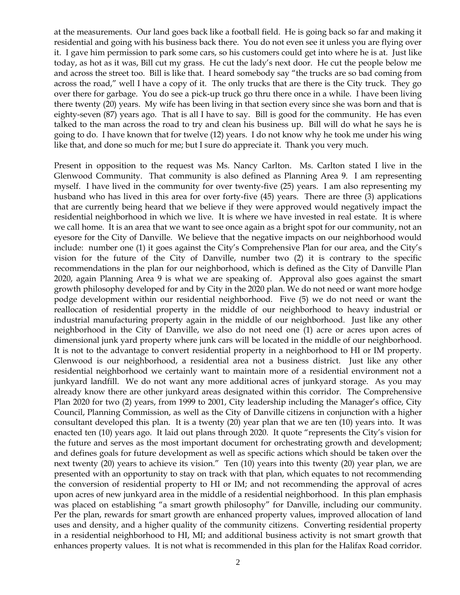at the measurements. Our land goes back like a football field. He is going back so far and making it residential and going with his business back there. You do not even see it unless you are flying over it. I gave him permission to park some cars, so his customers could get into where he is at. Just like today, as hot as it was, Bill cut my grass. He cut the lady's next door. He cut the people below me and across the street too. Bill is like that. I heard somebody say "the trucks are so bad coming from across the road," well I have a copy of it. The only trucks that are there is the City truck. They go over there for garbage. You do see a pick-up truck go thru there once in a while. I have been living there twenty (20) years. My wife has been living in that section every since she was born and that is eighty-seven (87) years ago. That is all I have to say. Bill is good for the community. He has even talked to the man across the road to try and clean his business up. Bill will do what he says he is going to do. I have known that for twelve (12) years. I do not know why he took me under his wing like that, and done so much for me; but I sure do appreciate it. Thank you very much.

Present in opposition to the request was Ms. Nancy Carlton. Ms. Carlton stated I live in the Glenwood Community. That community is also defined as Planning Area 9. I am representing myself. I have lived in the community for over twenty-five (25) years. I am also representing my husband who has lived in this area for over forty-five (45) years. There are three (3) applications that are currently being heard that we believe if they were approved would negatively impact the residential neighborhood in which we live. It is where we have invested in real estate. It is where we call home. It is an area that we want to see once again as a bright spot for our community, not an eyesore for the City of Danville. We believe that the negative impacts on our neighborhood would include: number one (1) it goes against the City's Comprehensive Plan for our area, and the City's vision for the future of the City of Danville, number two (2) it is contrary to the specific recommendations in the plan for our neighborhood, which is defined as the City of Danville Plan 2020, again Planning Area 9 is what we are speaking of. Approval also goes against the smart growth philosophy developed for and by City in the 2020 plan. We do not need or want more hodge podge development within our residential neighborhood. Five (5) we do not need or want the reallocation of residential property in the middle of our neighborhood to heavy industrial or industrial manufacturing property again in the middle of our neighborhood. Just like any other neighborhood in the City of Danville, we also do not need one (1) acre or acres upon acres of dimensional junk yard property where junk cars will be located in the middle of our neighborhood. It is not to the advantage to convert residential property in a neighborhood to HI or IM property. Glenwood is our neighborhood, a residential area not a business district. Just like any other residential neighborhood we certainly want to maintain more of a residential environment not a junkyard landfill. We do not want any more additional acres of junkyard storage. As you may already know there are other junkyard areas designated within this corridor. The Comprehensive Plan 2020 for two (2) years, from 1999 to 2001, City leadership including the Manager's office, City Council, Planning Commission, as well as the City of Danville citizens in conjunction with a higher consultant developed this plan. It is a twenty (20) year plan that we are ten (10) years into. It was enacted ten (10) years ago. It laid out plans through 2020. It quote "represents the City's vision for the future and serves as the most important document for orchestrating growth and development; and defines goals for future development as well as specific actions which should be taken over the next twenty (20) years to achieve its vision." Ten (10) years into this twenty (20) year plan, we are presented with an opportunity to stay on track with that plan, which equates to not recommending the conversion of residential property to HI or IM; and not recommending the approval of acres upon acres of new junkyard area in the middle of a residential neighborhood. In this plan emphasis was placed on establishing "a smart growth philosophy" for Danville, including our community. Per the plan, rewards for smart growth are enhanced property values, improved allocation of land uses and density, and a higher quality of the community citizens. Converting residential property in a residential neighborhood to HI, MI; and additional business activity is not smart growth that enhances property values. It is not what is recommended in this plan for the Halifax Road corridor.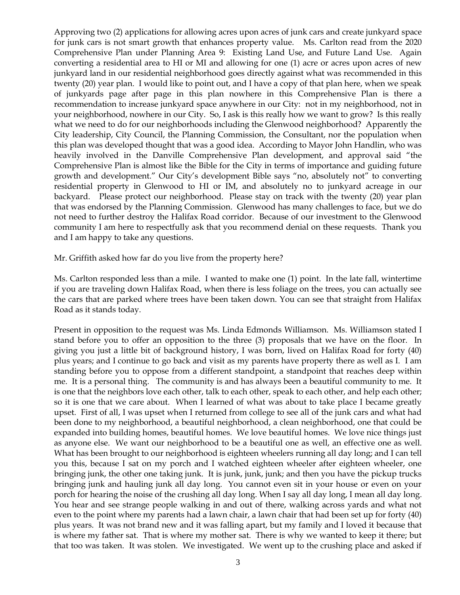Approving two (2) applications for allowing acres upon acres of junk cars and create junkyard space for junk cars is not smart growth that enhances property value. Ms. Carlton read from the 2020 Comprehensive Plan under Planning Area 9: Existing Land Use, and Future Land Use. Again converting a residential area to HI or MI and allowing for one (1) acre or acres upon acres of new junkyard land in our residential neighborhood goes directly against what was recommended in this twenty (20) year plan. I would like to point out, and I have a copy of that plan here, when we speak of junkyards page after page in this plan nowhere in this Comprehensive Plan is there a recommendation to increase junkyard space anywhere in our City: not in my neighborhood, not in your neighborhood, nowhere in our City. So, I ask is this really how we want to grow? Is this really what we need to do for our neighborhoods including the Glenwood neighborhood? Apparently the City leadership, City Council, the Planning Commission, the Consultant, nor the population when this plan was developed thought that was a good idea. According to Mayor John Handlin, who was heavily involved in the Danville Comprehensive Plan development, and approval said "the Comprehensive Plan is almost like the Bible for the City in terms of importance and guiding future growth and development." Our City's development Bible says "no, absolutely not" to converting residential property in Glenwood to HI or IM, and absolutely no to junkyard acreage in our backyard. Please protect our neighborhood. Please stay on track with the twenty (20) year plan that was endorsed by the Planning Commission. Glenwood has many challenges to face, but we do not need to further destroy the Halifax Road corridor. Because of our investment to the Glenwood community I am here to respectfully ask that you recommend denial on these requests. Thank you and I am happy to take any questions.

Mr. Griffith asked how far do you live from the property here?

Ms. Carlton responded less than a mile. I wanted to make one (1) point. In the late fall, wintertime if you are traveling down Halifax Road, when there is less foliage on the trees, you can actually see the cars that are parked where trees have been taken down. You can see that straight from Halifax Road as it stands today.

Present in opposition to the request was Ms. Linda Edmonds Williamson. Ms. Williamson stated I stand before you to offer an opposition to the three (3) proposals that we have on the floor. In giving you just a little bit of background history, I was born, lived on Halifax Road for forty (40) plus years; and I continue to go back and visit as my parents have property there as well as I. I am standing before you to oppose from a different standpoint, a standpoint that reaches deep within me. It is a personal thing. The community is and has always been a beautiful community to me. It is one that the neighbors love each other, talk to each other, speak to each other, and help each other; so it is one that we care about. When I learned of what was about to take place I became greatly upset. First of all, I was upset when I returned from college to see all of the junk cars and what had been done to my neighborhood, a beautiful neighborhood, a clean neighborhood, one that could be expanded into building homes, beautiful homes. We love beautiful homes. We love nice things just as anyone else. We want our neighborhood to be a beautiful one as well, an effective one as well. What has been brought to our neighborhood is eighteen wheelers running all day long; and I can tell you this, because I sat on my porch and I watched eighteen wheeler after eighteen wheeler, one bringing junk, the other one taking junk. It is junk, junk, junk; and then you have the pickup trucks bringing junk and hauling junk all day long. You cannot even sit in your house or even on your porch for hearing the noise of the crushing all day long. When I say all day long, I mean all day long. You hear and see strange people walking in and out of there, walking across yards and what not even to the point where my parents had a lawn chair, a lawn chair that had been set up for forty (40) plus years. It was not brand new and it was falling apart, but my family and I loved it because that is where my father sat. That is where my mother sat. There is why we wanted to keep it there; but that too was taken. It was stolen. We investigated. We went up to the crushing place and asked if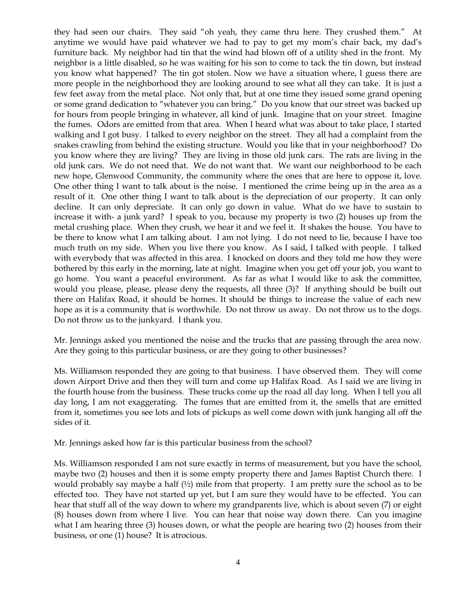they had seen our chairs. They said "oh yeah, they came thru here. They crushed them." At anytime we would have paid whatever we had to pay to get my mom's chair back, my dad's furniture back. My neighbor had tin that the wind had blown off of a utility shed in the front. My neighbor is a little disabled, so he was waiting for his son to come to tack the tin down, but instead you know what happened? The tin got stolen. Now we have a situation where, I guess there are more people in the neighborhood they are looking around to see what all they can take. It is just a few feet away from the metal place. Not only that, but at one time they issued some grand opening or some grand dedication to "whatever you can bring." Do you know that our street was backed up for hours from people bringing in whatever, all kind of junk. Imagine that on your street. Imagine the fumes. Odors are emitted from that area. When I heard what was about to take place, I started walking and I got busy. I talked to every neighbor on the street. They all had a complaint from the snakes crawling from behind the existing structure. Would you like that in your neighborhood? Do you know where they are living? They are living in those old junk cars. The rats are living in the old junk cars. We do not need that. We do not want that. We want our neighborhood to be each new hope, Glenwood Community, the community where the ones that are here to oppose it, love. One other thing I want to talk about is the noise. I mentioned the crime being up in the area as a result of it. One other thing I want to talk about is the depreciation of our property. It can only decline. It can only depreciate. It can only go down in value. What do we have to sustain to increase it with- a junk yard? I speak to you, because my property is two (2) houses up from the metal crushing place. When they crush, we hear it and we feel it. It shakes the house. You have to be there to know what I am talking about. I am not lying. I do not need to lie, because I have too much truth on my side. When you live there you know. As I said, I talked with people. I talked with everybody that was affected in this area. I knocked on doors and they told me how they were bothered by this early in the morning, late at night. Imagine when you get off your job, you want to go home. You want a peaceful environment. As far as what I would like to ask the committee, would you please, please, please deny the requests, all three (3)? If anything should be built out there on Halifax Road, it should be homes. It should be things to increase the value of each new hope as it is a community that is worthwhile. Do not throw us away. Do not throw us to the dogs. Do not throw us to the junkyard. I thank you.

Mr. Jennings asked you mentioned the noise and the trucks that are passing through the area now. Are they going to this particular business, or are they going to other businesses?

Ms. Williamson responded they are going to that business. I have observed them. They will come down Airport Drive and then they will turn and come up Halifax Road. As I said we are living in the fourth house from the business. These trucks come up the road all day long. When I tell you all day long, I am not exaggerating. The fumes that are emitted from it, the smells that are emitted from it, sometimes you see lots and lots of pickups as well come down with junk hanging all off the sides of it.

Mr. Jennings asked how far is this particular business from the school?

Ms. Williamson responded I am not sure exactly in terms of measurement, but you have the school, maybe two (2) houses and then it is some empty property there and James Baptist Church there. I would probably say maybe a half  $(½)$  mile from that property. I am pretty sure the school as to be effected too. They have not started up yet, but I am sure they would have to be effected. You can hear that stuff all of the way down to where my grandparents live, which is about seven (7) or eight (8) houses down from where I live. You can hear that noise way down there. Can you imagine what I am hearing three (3) houses down, or what the people are hearing two (2) houses from their business, or one (1) house? It is atrocious.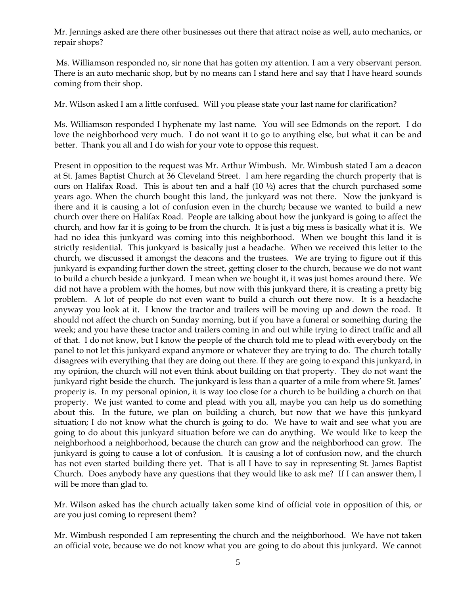Mr. Jennings asked are there other businesses out there that attract noise as well, auto mechanics, or repair shops?

Ms. Williamson responded no, sir none that has gotten my attention. I am a very observant person. There is an auto mechanic shop, but by no means can I stand here and say that I have heard sounds coming from their shop.

Mr. Wilson asked I am a little confused. Will you please state your last name for clarification?

Ms. Williamson responded I hyphenate my last name. You will see Edmonds on the report. I do love the neighborhood very much. I do not want it to go to anything else, but what it can be and better. Thank you all and I do wish for your vote to oppose this request.

Present in opposition to the request was Mr. Arthur Wimbush. Mr. Wimbush stated I am a deacon at St. James Baptist Church at 36 Cleveland Street. I am here regarding the church property that is ours on Halifax Road. This is about ten and a half (10 ½) acres that the church purchased some years ago. When the church bought this land, the junkyard was not there. Now the junkyard is there and it is causing a lot of confusion even in the church; because we wanted to build a new church over there on Halifax Road. People are talking about how the junkyard is going to affect the church, and how far it is going to be from the church. It is just a big mess is basically what it is. We had no idea this junkyard was coming into this neighborhood. When we bought this land it is strictly residential. This junkyard is basically just a headache. When we received this letter to the church, we discussed it amongst the deacons and the trustees. We are trying to figure out if this junkyard is expanding further down the street, getting closer to the church, because we do not want to build a church beside a junkyard. I mean when we bought it, it was just homes around there. We did not have a problem with the homes, but now with this junkyard there, it is creating a pretty big problem. A lot of people do not even want to build a church out there now. It is a headache anyway you look at it. I know the tractor and trailers will be moving up and down the road. It should not affect the church on Sunday morning, but if you have a funeral or something during the week; and you have these tractor and trailers coming in and out while trying to direct traffic and all of that. I do not know, but I know the people of the church told me to plead with everybody on the panel to not let this junkyard expand anymore or whatever they are trying to do. The church totally disagrees with everything that they are doing out there. If they are going to expand this junkyard, in my opinion, the church will not even think about building on that property. They do not want the junkyard right beside the church. The junkyard is less than a quarter of a mile from where St. James' property is. In my personal opinion, it is way too close for a church to be building a church on that property. We just wanted to come and plead with you all, maybe you can help us do something about this. In the future, we plan on building a church, but now that we have this junkyard situation; I do not know what the church is going to do. We have to wait and see what you are going to do about this junkyard situation before we can do anything. We would like to keep the neighborhood a neighborhood, because the church can grow and the neighborhood can grow. The junkyard is going to cause a lot of confusion. It is causing a lot of confusion now, and the church has not even started building there yet. That is all I have to say in representing St. James Baptist Church. Does anybody have any questions that they would like to ask me? If I can answer them, I will be more than glad to.

Mr. Wilson asked has the church actually taken some kind of official vote in opposition of this, or are you just coming to represent them?

Mr. Wimbush responded I am representing the church and the neighborhood. We have not taken an official vote, because we do not know what you are going to do about this junkyard. We cannot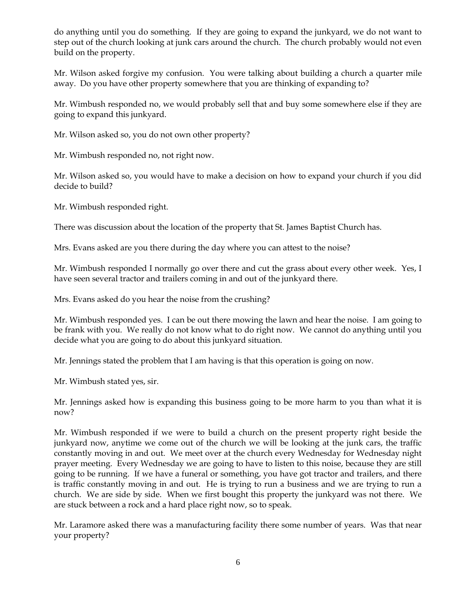do anything until you do something. If they are going to expand the junkyard, we do not want to step out of the church looking at junk cars around the church. The church probably would not even build on the property.

Mr. Wilson asked forgive my confusion. You were talking about building a church a quarter mile away. Do you have other property somewhere that you are thinking of expanding to?

Mr. Wimbush responded no, we would probably sell that and buy some somewhere else if they are going to expand this junkyard.

Mr. Wilson asked so, you do not own other property?

Mr. Wimbush responded no, not right now.

Mr. Wilson asked so, you would have to make a decision on how to expand your church if you did decide to build?

Mr. Wimbush responded right.

There was discussion about the location of the property that St. James Baptist Church has.

Mrs. Evans asked are you there during the day where you can attest to the noise?

Mr. Wimbush responded I normally go over there and cut the grass about every other week. Yes, I have seen several tractor and trailers coming in and out of the junkyard there.

Mrs. Evans asked do you hear the noise from the crushing?

Mr. Wimbush responded yes. I can be out there mowing the lawn and hear the noise. I am going to be frank with you. We really do not know what to do right now. We cannot do anything until you decide what you are going to do about this junkyard situation.

Mr. Jennings stated the problem that I am having is that this operation is going on now.

Mr. Wimbush stated yes, sir.

Mr. Jennings asked how is expanding this business going to be more harm to you than what it is now?

Mr. Wimbush responded if we were to build a church on the present property right beside the junkyard now, anytime we come out of the church we will be looking at the junk cars, the traffic constantly moving in and out. We meet over at the church every Wednesday for Wednesday night prayer meeting. Every Wednesday we are going to have to listen to this noise, because they are still going to be running. If we have a funeral or something, you have got tractor and trailers, and there is traffic constantly moving in and out. He is trying to run a business and we are trying to run a church. We are side by side. When we first bought this property the junkyard was not there. We are stuck between a rock and a hard place right now, so to speak.

Mr. Laramore asked there was a manufacturing facility there some number of years. Was that near your property?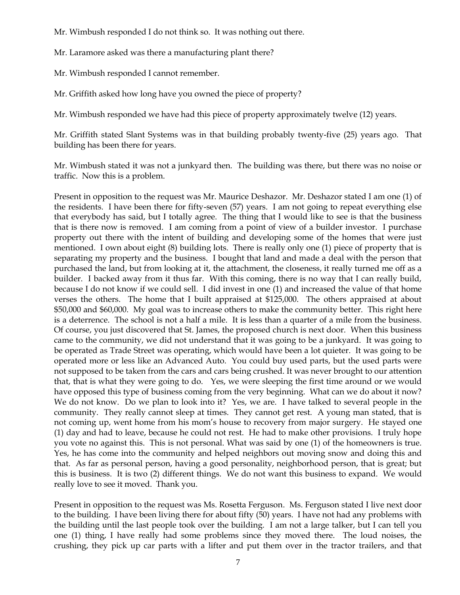Mr. Wimbush responded I do not think so. It was nothing out there.

Mr. Laramore asked was there a manufacturing plant there?

Mr. Wimbush responded I cannot remember.

Mr. Griffith asked how long have you owned the piece of property?

Mr. Wimbush responded we have had this piece of property approximately twelve (12) years.

Mr. Griffith stated Slant Systems was in that building probably twenty-five (25) years ago. That building has been there for years.

Mr. Wimbush stated it was not a junkyard then. The building was there, but there was no noise or traffic. Now this is a problem.

Present in opposition to the request was Mr. Maurice Deshazor. Mr. Deshazor stated I am one (1) of the residents. I have been there for fifty-seven (57) years. I am not going to repeat everything else that everybody has said, but I totally agree. The thing that I would like to see is that the business that is there now is removed. I am coming from a point of view of a builder investor. I purchase property out there with the intent of building and developing some of the homes that were just mentioned. I own about eight (8) building lots. There is really only one (1) piece of property that is separating my property and the business. I bought that land and made a deal with the person that purchased the land, but from looking at it, the attachment, the closeness, it really turned me off as a builder. I backed away from it thus far. With this coming, there is no way that I can really build, because I do not know if we could sell. I did invest in one (1) and increased the value of that home verses the others. The home that I built appraised at \$125,000. The others appraised at about \$50,000 and \$60,000. My goal was to increase others to make the community better. This right here is a deterrence. The school is not a half a mile. It is less than a quarter of a mile from the business. Of course, you just discovered that St. James, the proposed church is next door. When this business came to the community, we did not understand that it was going to be a junkyard. It was going to be operated as Trade Street was operating, which would have been a lot quieter. It was going to be operated more or less like an Advanced Auto. You could buy used parts, but the used parts were not supposed to be taken from the cars and cars being crushed. It was never brought to our attention that, that is what they were going to do. Yes, we were sleeping the first time around or we would have opposed this type of business coming from the very beginning. What can we do about it now? We do not know. Do we plan to look into it? Yes, we are. I have talked to several people in the community. They really cannot sleep at times. They cannot get rest. A young man stated, that is not coming up, went home from his mom's house to recovery from major surgery. He stayed one (1) day and had to leave, because he could not rest. He had to make other provisions. I truly hope you vote no against this. This is not personal. What was said by one (1) of the homeowners is true. Yes, he has come into the community and helped neighbors out moving snow and doing this and that. As far as personal person, having a good personality, neighborhood person, that is great; but this is business. It is two (2) different things. We do not want this business to expand. We would really love to see it moved. Thank you.

Present in opposition to the request was Ms. Rosetta Ferguson. Ms. Ferguson stated I live next door to the building. I have been living there for about fifty (50) years. I have not had any problems with the building until the last people took over the building. I am not a large talker, but I can tell you one (1) thing, I have really had some problems since they moved there. The loud noises, the crushing, they pick up car parts with a lifter and put them over in the tractor trailers, and that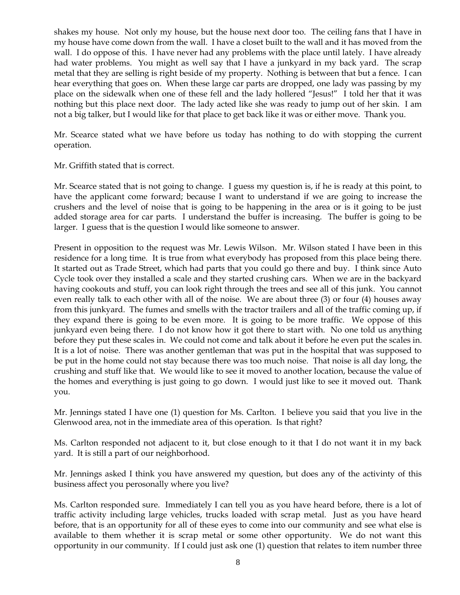shakes my house. Not only my house, but the house next door too. The ceiling fans that I have in my house have come down from the wall. I have a closet built to the wall and it has moved from the wall. I do oppose of this. I have never had any problems with the place until lately. I have already had water problems. You might as well say that I have a junkyard in my back yard. The scrap metal that they are selling is right beside of my property. Nothing is between that but a fence. I can hear everything that goes on. When these large car parts are dropped, one lady was passing by my place on the sidewalk when one of these fell and the lady hollered "Jesus!" I told her that it was nothing but this place next door. The lady acted like she was ready to jump out of her skin. I am not a big talker, but I would like for that place to get back like it was or either move. Thank you.

Mr. Scearce stated what we have before us today has nothing to do with stopping the current operation.

Mr. Griffith stated that is correct.

Mr. Scearce stated that is not going to change. I guess my question is, if he is ready at this point, to have the applicant come forward; because I want to understand if we are going to increase the crushers and the level of noise that is going to be happening in the area or is it going to be just added storage area for car parts. I understand the buffer is increasing. The buffer is going to be larger. I guess that is the question I would like someone to answer.

Present in opposition to the request was Mr. Lewis Wilson. Mr. Wilson stated I have been in this residence for a long time. It is true from what everybody has proposed from this place being there. It started out as Trade Street, which had parts that you could go there and buy. I think since Auto Cycle took over they installed a scale and they started crushing cars. When we are in the backyard having cookouts and stuff, you can look right through the trees and see all of this junk. You cannot even really talk to each other with all of the noise. We are about three (3) or four (4) houses away from this junkyard. The fumes and smells with the tractor trailers and all of the traffic coming up, if they expand there is going to be even more. It is going to be more traffic. We oppose of this junkyard even being there. I do not know how it got there to start with. No one told us anything before they put these scales in. We could not come and talk about it before he even put the scales in. It is a lot of noise. There was another gentleman that was put in the hospital that was supposed to be put in the home could not stay because there was too much noise. That noise is all day long, the crushing and stuff like that. We would like to see it moved to another location, because the value of the homes and everything is just going to go down. I would just like to see it moved out. Thank you.

Mr. Jennings stated I have one (1) question for Ms. Carlton. I believe you said that you live in the Glenwood area, not in the immediate area of this operation. Is that right?

Ms. Carlton responded not adjacent to it, but close enough to it that I do not want it in my back yard. It is still a part of our neighborhood.

Mr. Jennings asked I think you have answered my question, but does any of the activinty of this business affect you perosonally where you live?

Ms. Carlton responded sure. Immediately I can tell you as you have heard before, there is a lot of traffic activity including large vehicles, trucks loaded with scrap metal. Just as you have heard before, that is an opportunity for all of these eyes to come into our community and see what else is available to them whether it is scrap metal or some other opportunity. We do not want this opportunity in our community. If I could just ask one (1) question that relates to item number three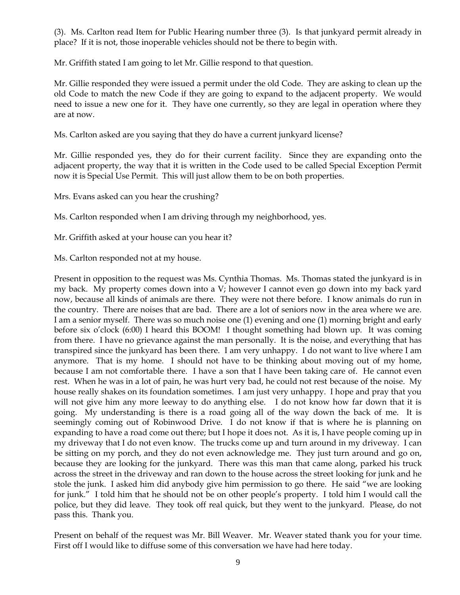(3). Ms. Carlton read Item for Public Hearing number three (3). Is that junkyard permit already in place? If it is not, those inoperable vehicles should not be there to begin with.

Mr. Griffith stated I am going to let Mr. Gillie respond to that question.

Mr. Gillie responded they were issued a permit under the old Code. They are asking to clean up the old Code to match the new Code if they are going to expand to the adjacent property. We would need to issue a new one for it. They have one currently, so they are legal in operation where they are at now.

Ms. Carlton asked are you saying that they do have a current junkyard license?

Mr. Gillie responded yes, they do for their current facility. Since they are expanding onto the adjacent property, the way that it is written in the Code used to be called Special Exception Permit now it is Special Use Permit. This will just allow them to be on both properties.

Mrs. Evans asked can you hear the crushing?

Ms. Carlton responded when I am driving through my neighborhood, yes.

Mr. Griffith asked at your house can you hear it?

Ms. Carlton responded not at my house.

Present in opposition to the request was Ms. Cynthia Thomas. Ms. Thomas stated the junkyard is in my back. My property comes down into a V; however I cannot even go down into my back yard now, because all kinds of animals are there. They were not there before. I know animals do run in the country. There are noises that are bad. There are a lot of seniors now in the area where we are. I am a senior myself. There was so much noise one (1) evening and one (1) morning bright and early before six o'clock (6:00) I heard this BOOM! I thought something had blown up. It was coming from there. I have no grievance against the man personally. It is the noise, and everything that has transpired since the junkyard has been there. I am very unhappy. I do not want to live where I am anymore. That is my home. I should not have to be thinking about moving out of my home, because I am not comfortable there. I have a son that I have been taking care of. He cannot even rest. When he was in a lot of pain, he was hurt very bad, he could not rest because of the noise. My house really shakes on its foundation sometimes. I am just very unhappy. I hope and pray that you will not give him any more leeway to do anything else. I do not know how far down that it is going. My understanding is there is a road going all of the way down the back of me. It is seemingly coming out of Robinwood Drive. I do not know if that is where he is planning on expanding to have a road come out there; but I hope it does not. As it is, I have people coming up in my driveway that I do not even know. The trucks come up and turn around in my driveway. I can be sitting on my porch, and they do not even acknowledge me. They just turn around and go on, because they are looking for the junkyard. There was this man that came along, parked his truck across the street in the driveway and ran down to the house across the street looking for junk and he stole the junk. I asked him did anybody give him permission to go there. He said "we are looking for junk." I told him that he should not be on other people's property. I told him I would call the police, but they did leave. They took off real quick, but they went to the junkyard. Please, do not pass this. Thank you.

Present on behalf of the request was Mr. Bill Weaver. Mr. Weaver stated thank you for your time. First off I would like to diffuse some of this conversation we have had here today.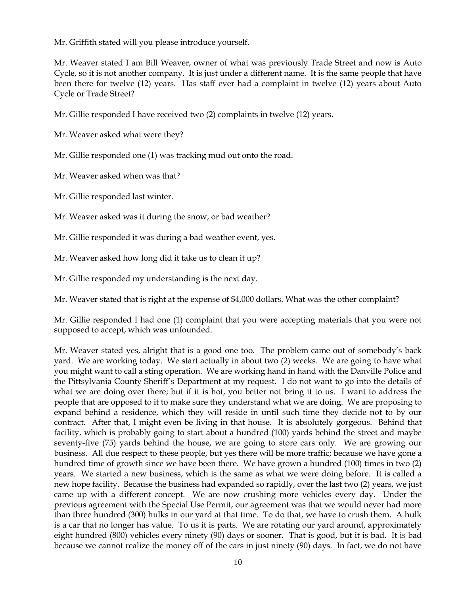Mr. Griffith stated will you please introduce yourself.

Mr. Weaver stated I am Bill Weaver, owner of what was previously Trade Street and now is Auto Cycle, so it is not another company. It is just under a different name. It is the same people that have been there for twelve (12) years. Has staff ever had a complaint in twelve (12) years about Auto Cycle or Trade Street?

Mr. Gillie responded I have received two (2) complaints in twelve (12) years.

Mr. Weaver asked what were they?

Mr. Gillie responded one (1) was tracking mud out onto the road.

Mr. Weaver asked when was that?

Mr. Gillie responded last winter.

Mr. Weaver asked was it during the snow, or bad weather?

Mr. Gillie responded it was during a bad weather event, yes.

Mr. Weaver asked how long did it take us to clean it up?

Mr. Gillie responded my understanding is the next day.

Mr. Weaver stated that is right at the expense of \$4,000 dollars. What was the other complaint?

Mr. Gillie responded I had one (1) complaint that you were accepting materials that you were not supposed to accept, which was unfounded.

Mr. Weaver stated yes, alright that is a good one too. The problem came out of somebody's back yard. We are working today. We start actually in about two (2) weeks. We are going to have what you might want to call a sting operation. We are working hand in hand with the Danville Police and the Pittsylvania County Sheriff's Department at my request. I do not want to go into the details of what we are doing over there; but if it is hot, you better not bring it to us. I want to address the people that are opposed to it to make sure they understand what we are doing. We are proposing to expand behind a residence, which they will reside in until such time they decide not to by our contract. After that, I might even be living in that house. It is absolutely gorgeous. Behind that facility, which is probably going to start about a hundred (100) yards behind the street and maybe seventy-five (75) yards behind the house, we are going to store cars only. We are growing our business. All due respect to these people, but yes there will be more traffic; because we have gone a hundred time of growth since we have been there. We have grown a hundred (100) times in two (2) years. We started a new business, which is the same as what we were doing before. It is called a new hope facility. Because the business had expanded so rapidly, over the last two (2) years, we just came up with a different concept. We are now crushing more vehicles every day. Under the previous agreement with the Special Use Permit, our agreement was that we would never had more than three hundred (300) hulks in our yard at that time. To do that, we have to crush them. A hulk is a car that no longer has value. To us it is parts. We are rotating our yard around, approximately eight hundred (800) vehicles every ninety (90) days or sooner. That is good, but it is bad. It is bad because we cannot realize the money off of the cars in just ninety (90) days. In fact, we do not have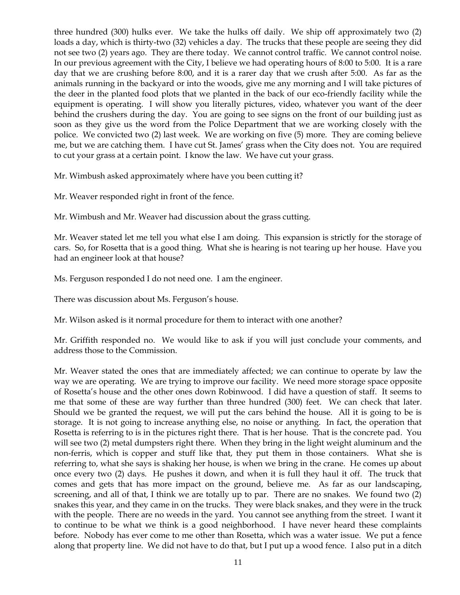three hundred (300) hulks ever. We take the hulks off daily. We ship off approximately two (2) loads a day, which is thirty-two (32) vehicles a day. The trucks that these people are seeing they did not see two (2) years ago. They are there today. We cannot control traffic. We cannot control noise. In our previous agreement with the City, I believe we had operating hours of 8:00 to 5:00. It is a rare day that we are crushing before 8:00, and it is a rarer day that we crush after 5:00. As far as the animals running in the backyard or into the woods, give me any morning and I will take pictures of the deer in the planted food plots that we planted in the back of our eco-friendly facility while the equipment is operating. I will show you literally pictures, video, whatever you want of the deer behind the crushers during the day. You are going to see signs on the front of our building just as soon as they give us the word from the Police Department that we are working closely with the police. We convicted two (2) last week. We are working on five (5) more. They are coming believe me, but we are catching them. I have cut St. James' grass when the City does not. You are required to cut your grass at a certain point. I know the law. We have cut your grass.

Mr. Wimbush asked approximately where have you been cutting it?

Mr. Weaver responded right in front of the fence.

Mr. Wimbush and Mr. Weaver had discussion about the grass cutting.

Mr. Weaver stated let me tell you what else I am doing. This expansion is strictly for the storage of cars. So, for Rosetta that is a good thing. What she is hearing is not tearing up her house. Have you had an engineer look at that house?

Ms. Ferguson responded I do not need one. I am the engineer.

There was discussion about Ms. Ferguson's house.

Mr. Wilson asked is it normal procedure for them to interact with one another?

Mr. Griffith responded no. We would like to ask if you will just conclude your comments, and address those to the Commission.

Mr. Weaver stated the ones that are immediately affected; we can continue to operate by law the way we are operating. We are trying to improve our facility. We need more storage space opposite of Rosetta's house and the other ones down Robinwood. I did have a question of staff. It seems to me that some of these are way further than three hundred (300) feet. We can check that later. Should we be granted the request, we will put the cars behind the house. All it is going to be is storage. It is not going to increase anything else, no noise or anything. In fact, the operation that Rosetta is referring to is in the pictures right there. That is her house. That is the concrete pad. You will see two (2) metal dumpsters right there. When they bring in the light weight aluminum and the non-ferris, which is copper and stuff like that, they put them in those containers. What she is referring to, what she says is shaking her house, is when we bring in the crane. He comes up about once every two (2) days. He pushes it down, and when it is full they haul it off. The truck that comes and gets that has more impact on the ground, believe me. As far as our landscaping, screening, and all of that, I think we are totally up to par. There are no snakes. We found two (2) snakes this year, and they came in on the trucks. They were black snakes, and they were in the truck with the people. There are no weeds in the yard. You cannot see anything from the street. I want it to continue to be what we think is a good neighborhood. I have never heard these complaints before. Nobody has ever come to me other than Rosetta, which was a water issue. We put a fence along that property line. We did not have to do that, but I put up a wood fence. I also put in a ditch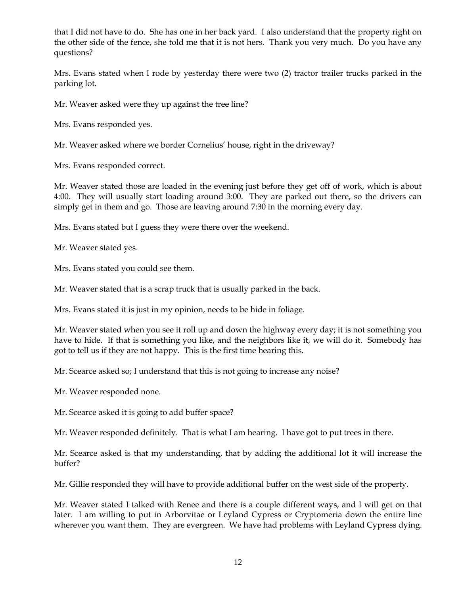that I did not have to do. She has one in her back yard. I also understand that the property right on the other side of the fence, she told me that it is not hers. Thank you very much. Do you have any questions?

Mrs. Evans stated when I rode by yesterday there were two (2) tractor trailer trucks parked in the parking lot.

Mr. Weaver asked were they up against the tree line?

Mrs. Evans responded yes.

Mr. Weaver asked where we border Cornelius' house, right in the driveway?

Mrs. Evans responded correct.

Mr. Weaver stated those are loaded in the evening just before they get off of work, which is about 4:00. They will usually start loading around 3:00. They are parked out there, so the drivers can simply get in them and go. Those are leaving around 7:30 in the morning every day.

Mrs. Evans stated but I guess they were there over the weekend.

Mr. Weaver stated yes.

Mrs. Evans stated you could see them.

Mr. Weaver stated that is a scrap truck that is usually parked in the back.

Mrs. Evans stated it is just in my opinion, needs to be hide in foliage.

Mr. Weaver stated when you see it roll up and down the highway every day; it is not something you have to hide. If that is something you like, and the neighbors like it, we will do it. Somebody has got to tell us if they are not happy. This is the first time hearing this.

Mr. Scearce asked so; I understand that this is not going to increase any noise?

Mr. Weaver responded none.

Mr. Scearce asked it is going to add buffer space?

Mr. Weaver responded definitely. That is what I am hearing. I have got to put trees in there.

Mr. Scearce asked is that my understanding, that by adding the additional lot it will increase the buffer?

Mr. Gillie responded they will have to provide additional buffer on the west side of the property.

Mr. Weaver stated I talked with Renee and there is a couple different ways, and I will get on that later. I am willing to put in Arborvitae or Leyland Cypress or Cryptomeria down the entire line wherever you want them. They are evergreen. We have had problems with Leyland Cypress dying.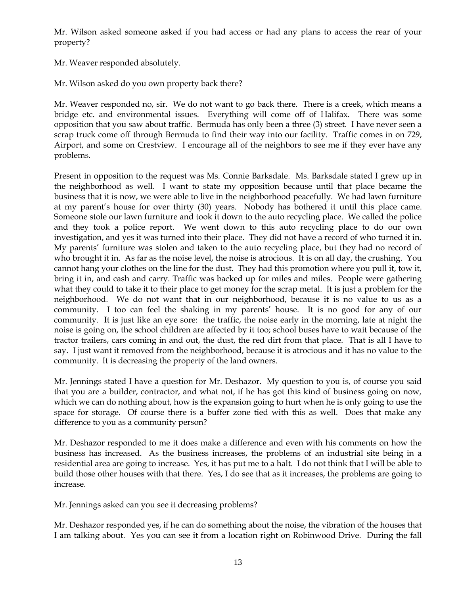Mr. Wilson asked someone asked if you had access or had any plans to access the rear of your property?

Mr. Weaver responded absolutely.

Mr. Wilson asked do you own property back there?

Mr. Weaver responded no, sir. We do not want to go back there. There is a creek, which means a bridge etc. and environmental issues. Everything will come off of Halifax. There was some opposition that you saw about traffic. Bermuda has only been a three (3) street. I have never seen a scrap truck come off through Bermuda to find their way into our facility. Traffic comes in on 729, Airport, and some on Crestview. I encourage all of the neighbors to see me if they ever have any problems.

Present in opposition to the request was Ms. Connie Barksdale. Ms. Barksdale stated I grew up in the neighborhood as well. I want to state my opposition because until that place became the business that it is now, we were able to live in the neighborhood peacefully. We had lawn furniture at my parent's house for over thirty (30) years. Nobody has bothered it until this place came. Someone stole our lawn furniture and took it down to the auto recycling place. We called the police and they took a police report. We went down to this auto recycling place to do our own investigation, and yes it was turned into their place. They did not have a record of who turned it in. My parents' furniture was stolen and taken to the auto recycling place, but they had no record of who brought it in. As far as the noise level, the noise is atrocious. It is on all day, the crushing. You cannot hang your clothes on the line for the dust. They had this promotion where you pull it, tow it, bring it in, and cash and carry. Traffic was backed up for miles and miles. People were gathering what they could to take it to their place to get money for the scrap metal. It is just a problem for the neighborhood. We do not want that in our neighborhood, because it is no value to us as a community. I too can feel the shaking in my parents' house. It is no good for any of our community. It is just like an eye sore: the traffic, the noise early in the morning, late at night the noise is going on, the school children are affected by it too; school buses have to wait because of the tractor trailers, cars coming in and out, the dust, the red dirt from that place. That is all I have to say. I just want it removed from the neighborhood, because it is atrocious and it has no value to the community. It is decreasing the property of the land owners.

Mr. Jennings stated I have a question for Mr. Deshazor. My question to you is, of course you said that you are a builder, contractor, and what not, if he has got this kind of business going on now, which we can do nothing about, how is the expansion going to hurt when he is only going to use the space for storage. Of course there is a buffer zone tied with this as well. Does that make any difference to you as a community person?

Mr. Deshazor responded to me it does make a difference and even with his comments on how the business has increased. As the business increases, the problems of an industrial site being in a residential area are going to increase. Yes, it has put me to a halt. I do not think that I will be able to build those other houses with that there. Yes, I do see that as it increases, the problems are going to increase.

Mr. Jennings asked can you see it decreasing problems?

Mr. Deshazor responded yes, if he can do something about the noise, the vibration of the houses that I am talking about. Yes you can see it from a location right on Robinwood Drive. During the fall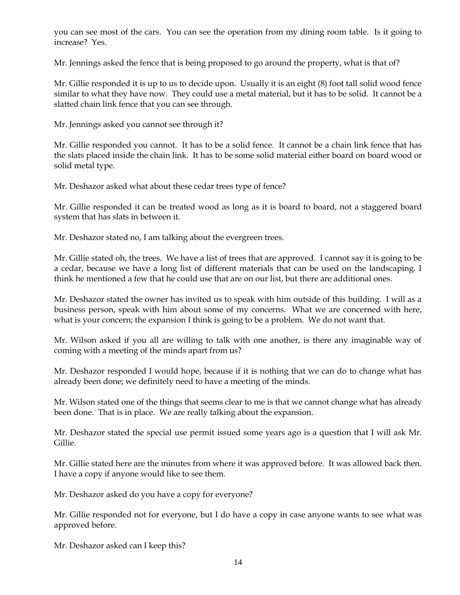you can see most of the cars. You can see the operation from my dining room table. Is it going to increase? Yes.

Mr. Jennings asked the fence that is being proposed to go around the property, what is that of?

Mr. Gillie responded it is up to us to decide upon. Usually it is an eight (8) foot tall solid wood fence similar to what they have now. They could use a metal material, but it has to be solid. It cannot be a slatted chain link fence that you can see through.

Mr. Jennings asked you cannot see through it?

Mr. Gillie responded you cannot. It has to be a solid fence. It cannot be a chain link fence that has the slats placed inside the chain link. It has to be some solid material either board on board wood or solid metal type.

Mr. Deshazor asked what about these cedar trees type of fence?

Mr. Gillie responded it can be treated wood as long as it is board to board, not a staggered board system that has slats in between it.

Mr. Deshazor stated no, I am talking about the evergreen trees.

Mr. Gillie stated oh, the trees. We have a list of trees that are approved. I cannot say it is going to be a cedar, because we have a long list of different materials that can be used on the landscaping. I think he mentioned a few that he could use that are on our list, but there are additional ones.

Mr. Deshazor stated the owner has invited us to speak with him outside of this building. I will as a business person, speak with him about some of my concerns. What we are concerned with here, what is your concern; the expansion I think is going to be a problem. We do not want that.

Mr. Wilson asked if you all are willing to talk with one another, is there any imaginable way of coming with a meeting of the minds apart from us?

Mr. Deshazor responded I would hope, because if it is nothing that we can do to change what has already been done; we definitely need to have a meeting of the minds.

Mr. Wilson stated one of the things that seems clear to me is that we cannot change what has already been done. That is in place. We are really talking about the expansion.

Mr. Deshazor stated the special use permit issued some years ago is a question that I will ask Mr. Gillie.

Mr. Gillie stated here are the minutes from where it was approved before. It was allowed back then. I have a copy if anyone would like to see them.

Mr. Deshazor asked do you have a copy for everyone?

Mr. Gillie responded not for everyone, but I do have a copy in case anyone wants to see what was approved before.

Mr. Deshazor asked can I keep this?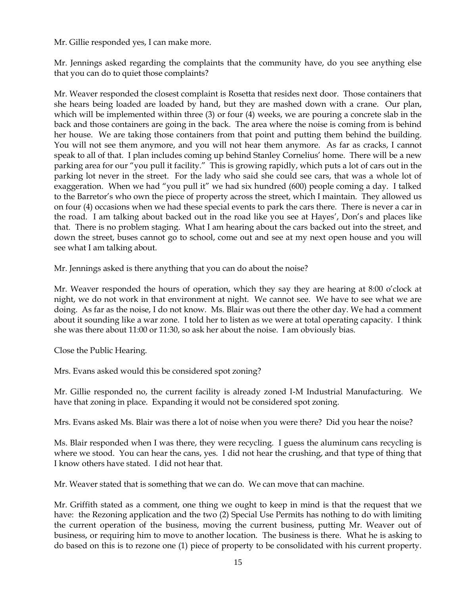Mr. Gillie responded yes, I can make more.

Mr. Jennings asked regarding the complaints that the community have, do you see anything else that you can do to quiet those complaints?

Mr. Weaver responded the closest complaint is Rosetta that resides next door. Those containers that she hears being loaded are loaded by hand, but they are mashed down with a crane. Our plan, which will be implemented within three (3) or four (4) weeks, we are pouring a concrete slab in the back and those containers are going in the back. The area where the noise is coming from is behind her house. We are taking those containers from that point and putting them behind the building. You will not see them anymore, and you will not hear them anymore. As far as cracks, I cannot speak to all of that. I plan includes coming up behind Stanley Cornelius' home. There will be a new parking area for our "you pull it facility." This is growing rapidly, which puts a lot of cars out in the parking lot never in the street. For the lady who said she could see cars, that was a whole lot of exaggeration. When we had "you pull it" we had six hundred (600) people coming a day. I talked to the Barretor's who own the piece of property across the street, which I maintain. They allowed us on four (4) occasions when we had these special events to park the cars there. There is never a car in the road. I am talking about backed out in the road like you see at Hayes', Don's and places like that. There is no problem staging. What I am hearing about the cars backed out into the street, and down the street, buses cannot go to school, come out and see at my next open house and you will see what I am talking about.

Mr. Jennings asked is there anything that you can do about the noise?

Mr. Weaver responded the hours of operation, which they say they are hearing at 8:00 o'clock at night, we do not work in that environment at night. We cannot see. We have to see what we are doing. As far as the noise, I do not know. Ms. Blair was out there the other day. We had a comment about it sounding like a war zone. I told her to listen as we were at total operating capacity. I think she was there about 11:00 or 11:30, so ask her about the noise. I am obviously bias.

Close the Public Hearing.

Mrs. Evans asked would this be considered spot zoning?

Mr. Gillie responded no, the current facility is already zoned I-M Industrial Manufacturing. We have that zoning in place. Expanding it would not be considered spot zoning.

Mrs. Evans asked Ms. Blair was there a lot of noise when you were there? Did you hear the noise?

Ms. Blair responded when I was there, they were recycling. I guess the aluminum cans recycling is where we stood. You can hear the cans, yes. I did not hear the crushing, and that type of thing that I know others have stated. I did not hear that.

Mr. Weaver stated that is something that we can do. We can move that can machine.

Mr. Griffith stated as a comment, one thing we ought to keep in mind is that the request that we have: the Rezoning application and the two (2) Special Use Permits has nothing to do with limiting the current operation of the business, moving the current business, putting Mr. Weaver out of business, or requiring him to move to another location. The business is there. What he is asking to do based on this is to rezone one (1) piece of property to be consolidated with his current property.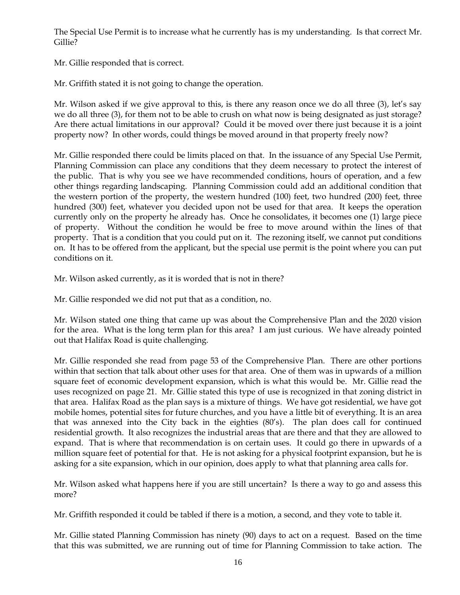The Special Use Permit is to increase what he currently has is my understanding. Is that correct Mr. Gillie?

Mr. Gillie responded that is correct.

Mr. Griffith stated it is not going to change the operation.

Mr. Wilson asked if we give approval to this, is there any reason once we do all three (3), let's say we do all three (3), for them not to be able to crush on what now is being designated as just storage? Are there actual limitations in our approval? Could it be moved over there just because it is a joint property now? In other words, could things be moved around in that property freely now?

Mr. Gillie responded there could be limits placed on that. In the issuance of any Special Use Permit, Planning Commission can place any conditions that they deem necessary to protect the interest of the public. That is why you see we have recommended conditions, hours of operation, and a few other things regarding landscaping. Planning Commission could add an additional condition that the western portion of the property, the western hundred (100) feet, two hundred (200) feet, three hundred (300) feet, whatever you decided upon not be used for that area. It keeps the operation currently only on the property he already has. Once he consolidates, it becomes one (1) large piece of property. Without the condition he would be free to move around within the lines of that property. That is a condition that you could put on it. The rezoning itself, we cannot put conditions on. It has to be offered from the applicant, but the special use permit is the point where you can put conditions on it.

Mr. Wilson asked currently, as it is worded that is not in there?

Mr. Gillie responded we did not put that as a condition, no.

Mr. Wilson stated one thing that came up was about the Comprehensive Plan and the 2020 vision for the area. What is the long term plan for this area? I am just curious. We have already pointed out that Halifax Road is quite challenging.

Mr. Gillie responded she read from page 53 of the Comprehensive Plan. There are other portions within that section that talk about other uses for that area. One of them was in upwards of a million square feet of economic development expansion, which is what this would be. Mr. Gillie read the uses recognized on page 21. Mr. Gillie stated this type of use is recognized in that zoning district in that area. Halifax Road as the plan says is a mixture of things. We have got residential, we have got mobile homes, potential sites for future churches, and you have a little bit of everything. It is an area that was annexed into the City back in the eighties (80's). The plan does call for continued residential growth. It also recognizes the industrial areas that are there and that they are allowed to expand. That is where that recommendation is on certain uses. It could go there in upwards of a million square feet of potential for that. He is not asking for a physical footprint expansion, but he is asking for a site expansion, which in our opinion, does apply to what that planning area calls for.

Mr. Wilson asked what happens here if you are still uncertain? Is there a way to go and assess this more?

Mr. Griffith responded it could be tabled if there is a motion, a second, and they vote to table it.

Mr. Gillie stated Planning Commission has ninety (90) days to act on a request. Based on the time that this was submitted, we are running out of time for Planning Commission to take action. The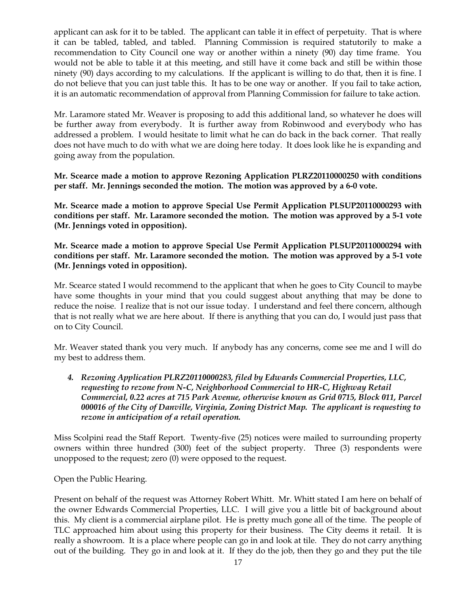applicant can ask for it to be tabled. The applicant can table it in effect of perpetuity. That is where it can be tabled, tabled, and tabled. Planning Commission is required statutorily to make a recommendation to City Council one way or another within a ninety (90) day time frame. You would not be able to table it at this meeting, and still have it come back and still be within those ninety (90) days according to my calculations. If the applicant is willing to do that, then it is fine. I do not believe that you can just table this. It has to be one way or another. If you fail to take action, it is an automatic recommendation of approval from Planning Commission for failure to take action.

Mr. Laramore stated Mr. Weaver is proposing to add this additional land, so whatever he does will be further away from everybody. It is further away from Robinwood and everybody who has addressed a problem. I would hesitate to limit what he can do back in the back corner. That really does not have much to do with what we are doing here today. It does look like he is expanding and going away from the population.

**Mr. Scearce made a motion to approve Rezoning Application PLRZ20110000250 with conditions per staff. Mr. Jennings seconded the motion. The motion was approved by a 6-0 vote.** 

**Mr. Scearce made a motion to approve Special Use Permit Application PLSUP20110000293 with conditions per staff. Mr. Laramore seconded the motion. The motion was approved by a 5-1 vote (Mr. Jennings voted in opposition).** 

**Mr. Scearce made a motion to approve Special Use Permit Application PLSUP20110000294 with conditions per staff. Mr. Laramore seconded the motion. The motion was approved by a 5-1 vote (Mr. Jennings voted in opposition).** 

Mr. Scearce stated I would recommend to the applicant that when he goes to City Council to maybe have some thoughts in your mind that you could suggest about anything that may be done to reduce the noise. I realize that is not our issue today. I understand and feel there concern, although that is not really what we are here about. If there is anything that you can do, I would just pass that on to City Council.

Mr. Weaver stated thank you very much. If anybody has any concerns, come see me and I will do my best to address them.

*4. Rezoning Application PLRZ20110000283, filed by Edwards Commercial Properties, LLC, requesting to rezone from N-C, Neighborhood Commercial to HR-C, Highway Retail Commercial, 0.22 acres at 715 Park Avenue, otherwise known as Grid 0715, Block 011, Parcel 000016 of the City of Danville, Virginia, Zoning District Map. The applicant is requesting to rezone in anticipation of a retail operation.*

Miss Scolpini read the Staff Report. Twenty-five (25) notices were mailed to surrounding property owners within three hundred (300) feet of the subject property. Three (3) respondents were unopposed to the request; zero (0) were opposed to the request.

Open the Public Hearing.

Present on behalf of the request was Attorney Robert Whitt. Mr. Whitt stated I am here on behalf of the owner Edwards Commercial Properties, LLC. I will give you a little bit of background about this. My client is a commercial airplane pilot. He is pretty much gone all of the time. The people of TLC approached him about using this property for their business. The City deems it retail. It is really a showroom. It is a place where people can go in and look at tile. They do not carry anything out of the building. They go in and look at it. If they do the job, then they go and they put the tile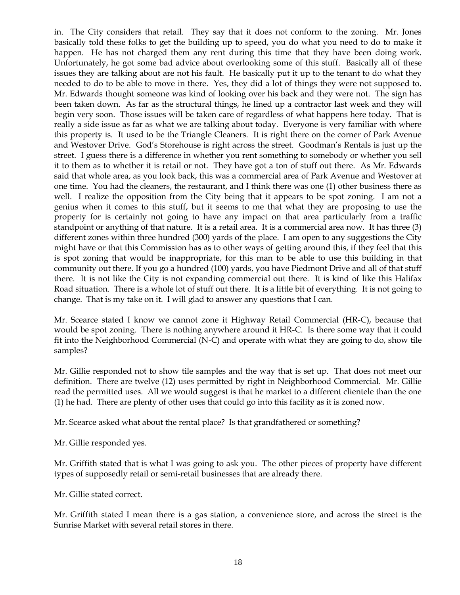in. The City considers that retail. They say that it does not conform to the zoning. Mr. Jones basically told these folks to get the building up to speed, you do what you need to do to make it happen. He has not charged them any rent during this time that they have been doing work. Unfortunately, he got some bad advice about overlooking some of this stuff. Basically all of these issues they are talking about are not his fault. He basically put it up to the tenant to do what they needed to do to be able to move in there. Yes, they did a lot of things they were not supposed to. Mr. Edwards thought someone was kind of looking over his back and they were not. The sign has been taken down. As far as the structural things, he lined up a contractor last week and they will begin very soon. Those issues will be taken care of regardless of what happens here today. That is really a side issue as far as what we are talking about today. Everyone is very familiar with where this property is. It used to be the Triangle Cleaners. It is right there on the corner of Park Avenue and Westover Drive. God's Storehouse is right across the street. Goodman's Rentals is just up the street. I guess there is a difference in whether you rent something to somebody or whether you sell it to them as to whether it is retail or not. They have got a ton of stuff out there. As Mr. Edwards said that whole area, as you look back, this was a commercial area of Park Avenue and Westover at one time. You had the cleaners, the restaurant, and I think there was one (1) other business there as well. I realize the opposition from the City being that it appears to be spot zoning. I am not a genius when it comes to this stuff, but it seems to me that what they are proposing to use the property for is certainly not going to have any impact on that area particularly from a traffic standpoint or anything of that nature. It is a retail area. It is a commercial area now. It has three (3) different zones within three hundred (300) yards of the place. I am open to any suggestions the City might have or that this Commission has as to other ways of getting around this, if they feel that this is spot zoning that would be inappropriate, for this man to be able to use this building in that community out there. If you go a hundred (100) yards, you have Piedmont Drive and all of that stuff there. It is not like the City is not expanding commercial out there. It is kind of like this Halifax Road situation. There is a whole lot of stuff out there. It is a little bit of everything. It is not going to change. That is my take on it. I will glad to answer any questions that I can.

Mr. Scearce stated I know we cannot zone it Highway Retail Commercial (HR-C), because that would be spot zoning. There is nothing anywhere around it HR-C. Is there some way that it could fit into the Neighborhood Commercial (N-C) and operate with what they are going to do, show tile samples?

Mr. Gillie responded not to show tile samples and the way that is set up. That does not meet our definition. There are twelve (12) uses permitted by right in Neighborhood Commercial. Mr. Gillie read the permitted uses. All we would suggest is that he market to a different clientele than the one (1) he had. There are plenty of other uses that could go into this facility as it is zoned now.

Mr. Scearce asked what about the rental place? Is that grandfathered or something?

Mr. Gillie responded yes.

Mr. Griffith stated that is what I was going to ask you. The other pieces of property have different types of supposedly retail or semi-retail businesses that are already there.

Mr. Gillie stated correct.

Mr. Griffith stated I mean there is a gas station, a convenience store, and across the street is the Sunrise Market with several retail stores in there.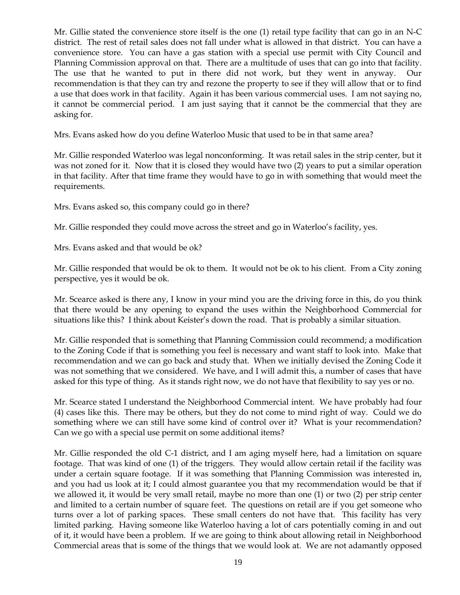Mr. Gillie stated the convenience store itself is the one (1) retail type facility that can go in an N-C district. The rest of retail sales does not fall under what is allowed in that district. You can have a convenience store. You can have a gas station with a special use permit with City Council and Planning Commission approval on that. There are a multitude of uses that can go into that facility. The use that he wanted to put in there did not work, but they went in anyway. Our recommendation is that they can try and rezone the property to see if they will allow that or to find a use that does work in that facility. Again it has been various commercial uses. I am not saying no, it cannot be commercial period. I am just saying that it cannot be the commercial that they are asking for.

Mrs. Evans asked how do you define Waterloo Music that used to be in that same area?

Mr. Gillie responded Waterloo was legal nonconforming. It was retail sales in the strip center, but it was not zoned for it. Now that it is closed they would have two (2) years to put a similar operation in that facility. After that time frame they would have to go in with something that would meet the requirements.

Mrs. Evans asked so, this company could go in there?

Mr. Gillie responded they could move across the street and go in Waterloo's facility, yes.

Mrs. Evans asked and that would be ok?

Mr. Gillie responded that would be ok to them. It would not be ok to his client. From a City zoning perspective, yes it would be ok.

Mr. Scearce asked is there any, I know in your mind you are the driving force in this, do you think that there would be any opening to expand the uses within the Neighborhood Commercial for situations like this? I think about Keister's down the road. That is probably a similar situation.

Mr. Gillie responded that is something that Planning Commission could recommend; a modification to the Zoning Code if that is something you feel is necessary and want staff to look into. Make that recommendation and we can go back and study that. When we initially devised the Zoning Code it was not something that we considered. We have, and I will admit this, a number of cases that have asked for this type of thing. As it stands right now, we do not have that flexibility to say yes or no.

Mr. Scearce stated I understand the Neighborhood Commercial intent. We have probably had four (4) cases like this. There may be others, but they do not come to mind right of way. Could we do something where we can still have some kind of control over it? What is your recommendation? Can we go with a special use permit on some additional items?

Mr. Gillie responded the old C-1 district, and I am aging myself here, had a limitation on square footage. That was kind of one (1) of the triggers. They would allow certain retail if the facility was under a certain square footage. If it was something that Planning Commission was interested in, and you had us look at it; I could almost guarantee you that my recommendation would be that if we allowed it, it would be very small retail, maybe no more than one (1) or two (2) per strip center and limited to a certain number of square feet. The questions on retail are if you get someone who turns over a lot of parking spaces. These small centers do not have that. This facility has very limited parking. Having someone like Waterloo having a lot of cars potentially coming in and out of it, it would have been a problem. If we are going to think about allowing retail in Neighborhood Commercial areas that is some of the things that we would look at. We are not adamantly opposed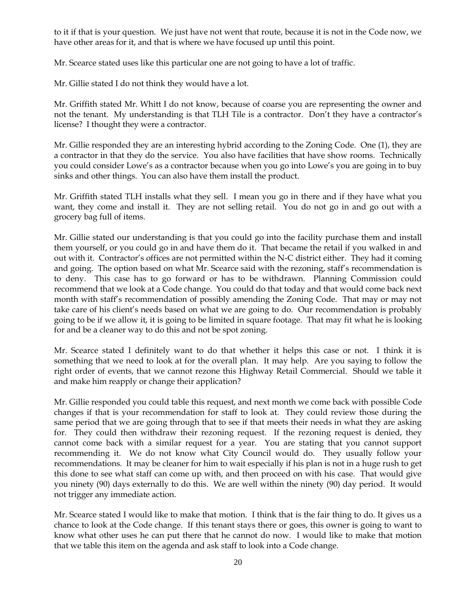to it if that is your question. We just have not went that route, because it is not in the Code now, we have other areas for it, and that is where we have focused up until this point.

Mr. Scearce stated uses like this particular one are not going to have a lot of traffic.

Mr. Gillie stated I do not think they would have a lot.

Mr. Griffith stated Mr. Whitt I do not know, because of coarse you are representing the owner and not the tenant. My understanding is that TLH Tile is a contractor. Don't they have a contractor's license? I thought they were a contractor.

Mr. Gillie responded they are an interesting hybrid according to the Zoning Code. One (1), they are a contractor in that they do the service. You also have facilities that have show rooms. Technically you could consider Lowe's as a contractor because when you go into Lowe's you are going in to buy sinks and other things. You can also have them install the product.

Mr. Griffith stated TLH installs what they sell. I mean you go in there and if they have what you want, they come and install it. They are not selling retail. You do not go in and go out with a grocery bag full of items.

Mr. Gillie stated our understanding is that you could go into the facility purchase them and install them yourself, or you could go in and have them do it. That became the retail if you walked in and out with it. Contractor's offices are not permitted within the N-C district either. They had it coming and going. The option based on what Mr. Scearce said with the rezoning, staff's recommendation is to deny. This case has to go forward or has to be withdrawn. Planning Commission could recommend that we look at a Code change. You could do that today and that would come back next month with staff's recommendation of possibly amending the Zoning Code. That may or may not take care of his client's needs based on what we are going to do. Our recommendation is probably going to be if we allow it, it is going to be limited in square footage. That may fit what he is looking for and be a cleaner way to do this and not be spot zoning.

Mr. Scearce stated I definitely want to do that whether it helps this case or not. I think it is something that we need to look at for the overall plan. It may help. Are you saying to follow the right order of events, that we cannot rezone this Highway Retail Commercial. Should we table it and make him reapply or change their application?

Mr. Gillie responded you could table this request, and next month we come back with possible Code changes if that is your recommendation for staff to look at. They could review those during the same period that we are going through that to see if that meets their needs in what they are asking for. They could then withdraw their rezoning request. If the rezoning request is denied, they cannot come back with a similar request for a year. You are stating that you cannot support recommending it. We do not know what City Council would do. They usually follow your recommendations. It may be cleaner for him to wait especially if his plan is not in a huge rush to get this done to see what staff can come up with, and then proceed on with his case. That would give you ninety (90) days externally to do this. We are well within the ninety (90) day period. It would not trigger any immediate action.

Mr. Scearce stated I would like to make that motion. I think that is the fair thing to do. It gives us a chance to look at the Code change. If this tenant stays there or goes, this owner is going to want to know what other uses he can put there that he cannot do now. I would like to make that motion that we table this item on the agenda and ask staff to look into a Code change.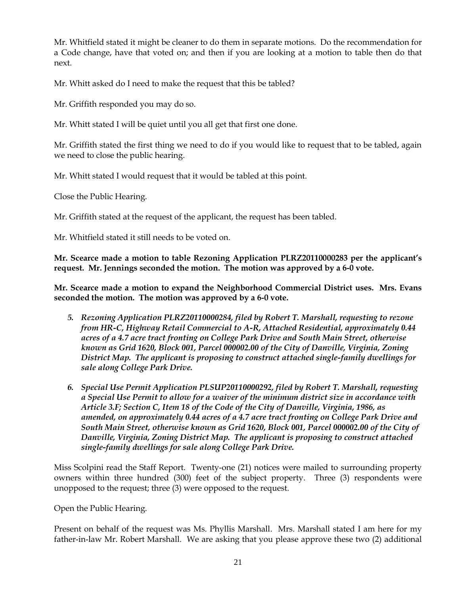Mr. Whitfield stated it might be cleaner to do them in separate motions. Do the recommendation for a Code change, have that voted on; and then if you are looking at a motion to table then do that next.

Mr. Whitt asked do I need to make the request that this be tabled?

Mr. Griffith responded you may do so.

Mr. Whitt stated I will be quiet until you all get that first one done.

Mr. Griffith stated the first thing we need to do if you would like to request that to be tabled, again we need to close the public hearing.

Mr. Whitt stated I would request that it would be tabled at this point.

Close the Public Hearing.

Mr. Griffith stated at the request of the applicant, the request has been tabled.

Mr. Whitfield stated it still needs to be voted on.

**Mr. Scearce made a motion to table Rezoning Application PLRZ20110000283 per the applicant's request. Mr. Jennings seconded the motion. The motion was approved by a 6-0 vote.** 

**Mr. Scearce made a motion to expand the Neighborhood Commercial District uses. Mrs. Evans seconded the motion. The motion was approved by a 6-0 vote.**

- *5. Rezoning Application PLRZ20110000284, filed by Robert T. Marshall, requesting to rezone from HR-C, Highway Retail Commercial to A-R, Attached Residential, approximately 0.44 acres of a 4.7 acre tract fronting on College Park Drive and South Main Street, otherwise known as Grid 1620, Block 001, Parcel 000002.00 of the City of Danville, Virginia, Zoning District Map. The applicant is proposing to construct attached single-family dwellings for sale along College Park Drive.*
- *6. Special Use Permit Application PLSUP20110000292, filed by Robert T. Marshall, requesting a Special Use Permit to allow for a waiver of the minimum district size in accordance with Article 3.F; Section C, Item 18 of the Code of the City of Danville, Virginia, 1986, as amended, on approximately 0.44 acres of a 4.7 acre tract fronting on College Park Drive and South Main Street, otherwise known as Grid 1620, Block 001, Parcel 000002.00 of the City of Danville, Virginia, Zoning District Map. The applicant is proposing to construct attached single-family dwellings for sale along College Park Drive.*

Miss Scolpini read the Staff Report. Twenty-one (21) notices were mailed to surrounding property owners within three hundred (300) feet of the subject property. Three (3) respondents were unopposed to the request; three (3) were opposed to the request.

Open the Public Hearing.

Present on behalf of the request was Ms. Phyllis Marshall. Mrs. Marshall stated I am here for my father-in-law Mr. Robert Marshall. We are asking that you please approve these two (2) additional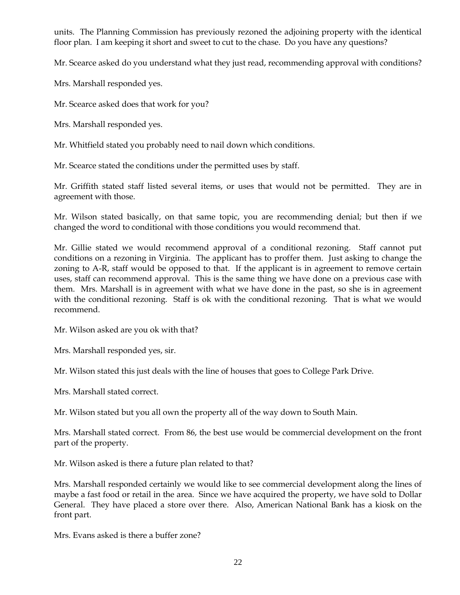units. The Planning Commission has previously rezoned the adjoining property with the identical floor plan. I am keeping it short and sweet to cut to the chase. Do you have any questions?

Mr. Scearce asked do you understand what they just read, recommending approval with conditions?

Mrs. Marshall responded yes.

Mr. Scearce asked does that work for you?

Mrs. Marshall responded yes.

Mr. Whitfield stated you probably need to nail down which conditions.

Mr. Scearce stated the conditions under the permitted uses by staff.

Mr. Griffith stated staff listed several items, or uses that would not be permitted. They are in agreement with those.

Mr. Wilson stated basically, on that same topic, you are recommending denial; but then if we changed the word to conditional with those conditions you would recommend that.

Mr. Gillie stated we would recommend approval of a conditional rezoning. Staff cannot put conditions on a rezoning in Virginia. The applicant has to proffer them. Just asking to change the zoning to A-R, staff would be opposed to that. If the applicant is in agreement to remove certain uses, staff can recommend approval. This is the same thing we have done on a previous case with them. Mrs. Marshall is in agreement with what we have done in the past, so she is in agreement with the conditional rezoning. Staff is ok with the conditional rezoning. That is what we would recommend.

Mr. Wilson asked are you ok with that?

Mrs. Marshall responded yes, sir.

Mr. Wilson stated this just deals with the line of houses that goes to College Park Drive.

Mrs. Marshall stated correct.

Mr. Wilson stated but you all own the property all of the way down to South Main.

Mrs. Marshall stated correct. From 86, the best use would be commercial development on the front part of the property.

Mr. Wilson asked is there a future plan related to that?

Mrs. Marshall responded certainly we would like to see commercial development along the lines of maybe a fast food or retail in the area. Since we have acquired the property, we have sold to Dollar General. They have placed a store over there. Also, American National Bank has a kiosk on the front part.

Mrs. Evans asked is there a buffer zone?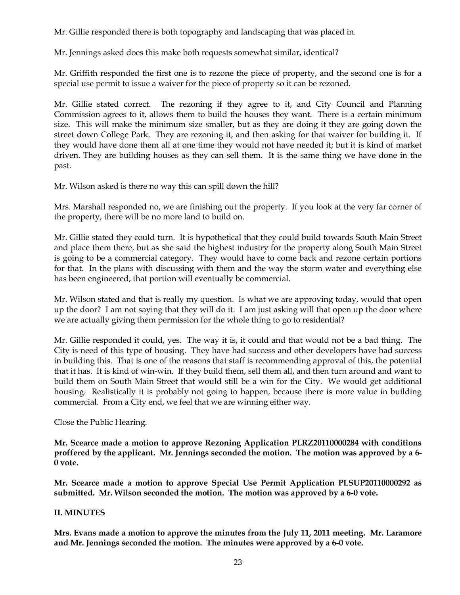Mr. Gillie responded there is both topography and landscaping that was placed in.

Mr. Jennings asked does this make both requests somewhat similar, identical?

Mr. Griffith responded the first one is to rezone the piece of property, and the second one is for a special use permit to issue a waiver for the piece of property so it can be rezoned.

Mr. Gillie stated correct. The rezoning if they agree to it, and City Council and Planning Commission agrees to it, allows them to build the houses they want. There is a certain minimum size. This will make the minimum size smaller, but as they are doing it they are going down the street down College Park. They are rezoning it, and then asking for that waiver for building it. If they would have done them all at one time they would not have needed it; but it is kind of market driven. They are building houses as they can sell them. It is the same thing we have done in the past.

Mr. Wilson asked is there no way this can spill down the hill?

Mrs. Marshall responded no, we are finishing out the property. If you look at the very far corner of the property, there will be no more land to build on.

Mr. Gillie stated they could turn. It is hypothetical that they could build towards South Main Street and place them there, but as she said the highest industry for the property along South Main Street is going to be a commercial category. They would have to come back and rezone certain portions for that. In the plans with discussing with them and the way the storm water and everything else has been engineered, that portion will eventually be commercial.

Mr. Wilson stated and that is really my question. Is what we are approving today, would that open up the door? I am not saying that they will do it. I am just asking will that open up the door where we are actually giving them permission for the whole thing to go to residential?

Mr. Gillie responded it could, yes. The way it is, it could and that would not be a bad thing. The City is need of this type of housing. They have had success and other developers have had success in building this. That is one of the reasons that staff is recommending approval of this, the potential that it has. It is kind of win-win. If they build them, sell them all, and then turn around and want to build them on South Main Street that would still be a win for the City. We would get additional housing. Realistically it is probably not going to happen, because there is more value in building commercial. From a City end, we feel that we are winning either way.

Close the Public Hearing.

**Mr. Scearce made a motion to approve Rezoning Application PLRZ20110000284 with conditions proffered by the applicant. Mr. Jennings seconded the motion. The motion was approved by a 6- 0 vote.** 

**Mr. Scearce made a motion to approve Special Use Permit Application PLSUP20110000292 as submitted. Mr. Wilson seconded the motion. The motion was approved by a 6-0 vote.**

## **II. MINUTES**

**Mrs. Evans made a motion to approve the minutes from the July 11, 2011 meeting. Mr. Laramore and Mr. Jennings seconded the motion. The minutes were approved by a 6-0 vote.**